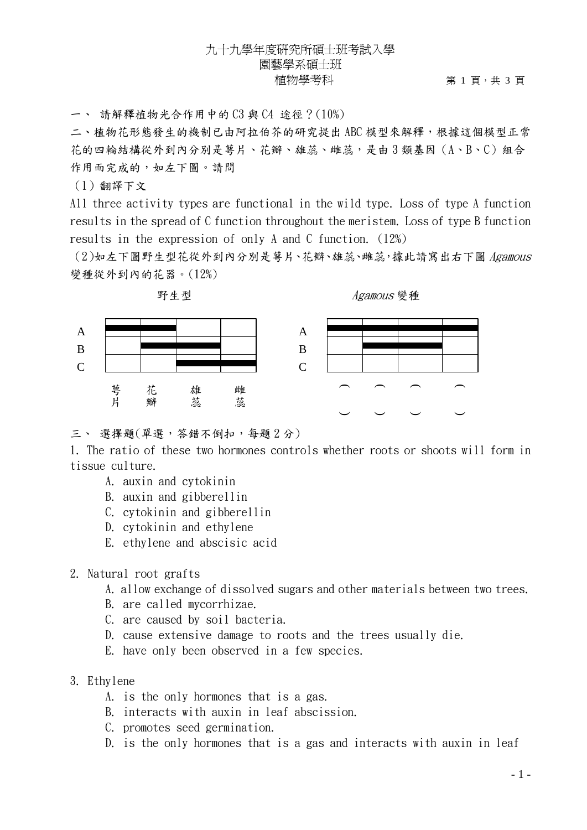### 九十九學年度研究所碩士班考試入學 園藝學系碩士班 植物學考科  $\qquad \qquad \, \, \text{m}$  a  $\qquad \qquad \, \text{m}$  a  $\qquad \qquad \, \text{m}$  a  $\qquad \qquad \, \text{m}$  a  $\qquad \qquad \, \text{m}$  a  $\qquad \qquad \text{m}$  a  $\qquad \qquad \, \text{m}$  a  $\qquad \qquad \, \text{m}$

一、 請解釋植物光合作用中的 C3 與 C4 途徑?(10%)

二、植物花形態發生的機制已由阿拉伯芥的研究提出 ABC 模型來解釋,根據這個模型正常 花的四輪結構從外到內分別是萼片、花瓣、雄蕊、雌蕊,是由 3 類基因(A、B、C)組合 作用而完成的,如左下圖。請問

(1)翻譯下文

All three activity types are functional in the wild type. Loss of type A function results in the spread of C function throughout the meristem. Loss of type B function results in the expression of only A and C function. (12%)

(2)如左下圖野生型花從外到內分別是萼片、花瓣、雄蕊、雌蕊,據此請寫出右下圖 Agamous 變種從外到內的花器。(12%)



Agamous 變種



三、 選擇題(單選, 答錯不倒扣, 每題2分)

1. The ratio of these two hormones controls whether roots or shoots will form in tissue culture.

- A. auxin and cytokinin
- B. auxin and gibberellin
- C. cytokinin and gibberellin
- D. cytokinin and ethylene
- E. ethylene and abscisic acid

#### 2. Natural root grafts

- A. allow exchange of dissolved sugars and other materials between two trees.
- B. are called mycorrhizae.
- C. are caused by soil bacteria.
- D. cause extensive damage to roots and the trees usually die.
- E. have only been observed in a few species.

#### 3. Ethylene

- A. is the only hormones that is a gas.
- B. interacts with auxin in leaf abscission.
- C. promotes seed germination.
- D. is the only hormones that is a gas and interacts with auxin in leaf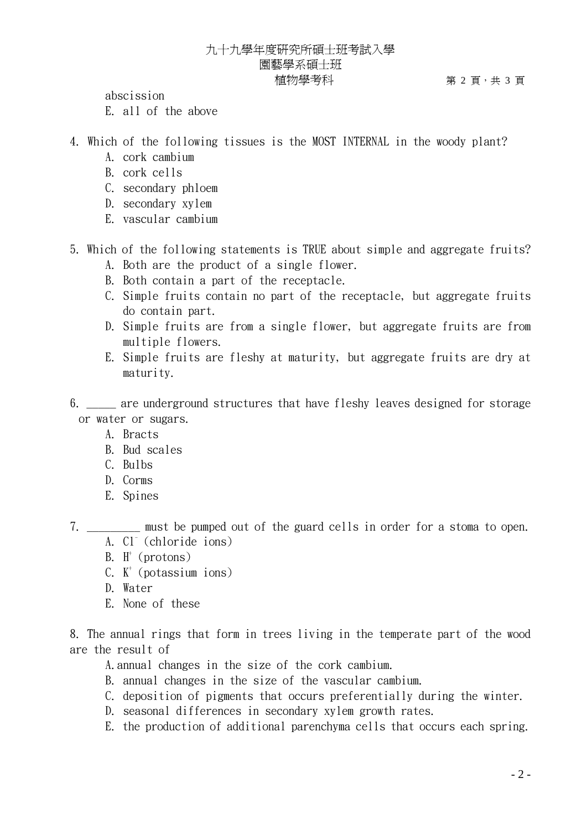## 九十九學年度研究所碩士班考試入學 園藝學系碩士班 植物學考科  $\qquad \qquad \, \, \Re z \equiv \, \frac{1}{2}$

abscission E. all of the above

- 4. Which of the following tissues is the MOST INTERNAL in the woody plant?
	- A. cork cambium
	- B. cork cells
	- C. secondary phloem
	- D. secondary xylem
	- E. vascular cambium
- 5. Which of the following statements is TRUE about simple and aggregate fruits? A. Both are the product of a single flower.
	- B. Both contain a part of the receptacle.
	- C. Simple fruits contain no part of the receptacle, but aggregate fruits do contain part.
	- D. Simple fruits are from a single flower, but aggregate fruits are from multiple flowers.
	- E. Simple fruits are fleshy at maturity, but aggregate fruits are dry at maturity.
- 6. \_\_\_\_\_ are underground structures that have fleshy leaves designed for storage or water or sugars.
	- A. Bracts
	- B. Bud scales
	- C. Bulbs
	- D. Corms
	- E. Spines
- 7. The must be pumped out of the guard cells in order for a stoma to open. A. Cl<sup>-</sup> (chloride ions)
	- B.  $H^+$  (protons)
	- $C.$   $K^+$  (potassium ions)
	- D. Water
	- E. None of these

8. The annual rings that form in trees living in the temperate part of the wood are the result of

- A.annual changes in the size of the cork cambium.
- B. annual changes in the size of the vascular cambium.
- C. deposition of pigments that occurs preferentially during the winter.
- D. seasonal differences in secondary xylem growth rates.
- E. the production of additional parenchyma cells that occurs each spring.